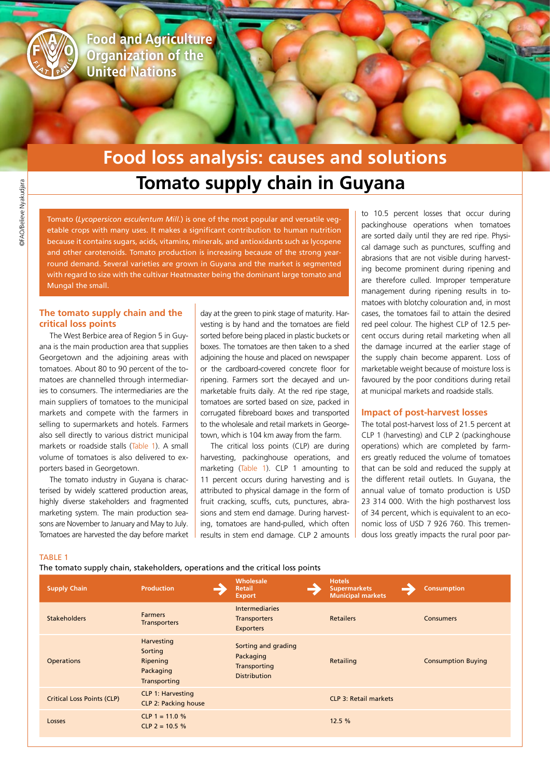

**Food and Agriculture Organization of the United Nations** 

# **Tomato supply chain in Guyana Food loss analysis: causes and solutions**

Tomato (*Lycopersicon esculentum Mill.*) is one of the most popular and versatile vegetable crops with many uses. It makes a significant contribution to human nutrition because it contains sugars, acids, vitamins, minerals, and antioxidants such as lycopene and other carotenoids. Tomato production is increasing because of the strong yearround demand. Several varieties are grown in Guyana and the market is segmented with regard to size with the cultivar Heatmaster being the dominant large tomato and Mungal the small.

## **The tomato supply chain and the critical loss points**

The West Berbice area of Region 5 in Guyana is the main production area that supplies Georgetown and the adjoining areas with tomatoes. About 80 to 90 percent of the tomatoes are channelled through intermediaries to consumers. The intermediaries are the main suppliers of tomatoes to the municipal markets and compete with the farmers in selling to supermarkets and hotels. Farmers also sell directly to various district municipal markets or roadside stalls (Table 1). A small volume of tomatoes is also delivered to exporters based in Georgetown.

The tomato industry in Guyana is characterised by widely scattered production areas, highly diverse stakeholders and fragmented marketing system. The main production seasons are November to January and May to July. Tomatoes are harvested the day before market day at the green to pink stage of maturity. Harvesting is by hand and the tomatoes are field sorted before being placed in plastic buckets or boxes. The tomatoes are then taken to a shed adjoining the house and placed on newspaper or the cardboard-covered concrete floor for ripening. Farmers sort the decayed and unmarketable fruits daily. At the red ripe stage, tomatoes are sorted based on size, packed in corrugated fibreboard boxes and transported to the wholesale and retail markets in Georgetown, which is 104 km away from the farm.

The critical loss points (CLP) are during harvesting, packinghouse operations, and marketing (Table 1). CLP 1 amounting to 11 percent occurs during harvesting and is attributed to physical damage in the form of fruit cracking, scuffs, cuts, punctures, abrasions and stem end damage. During harvesting, tomatoes are hand-pulled, which often results in stem end damage. CLP 2 amounts

to 10.5 percent losses that occur during packinghouse operations when tomatoes are sorted daily until they are red ripe. Physical damage such as punctures, scuffing and abrasions that are not visible during harvesting become prominent during ripening and are therefore culled. Improper temperature management during ripening results in tomatoes with blotchy colouration and, in most cases, the tomatoes fail to attain the desired red peel colour. The highest CLP of 12.5 percent occurs during retail marketing when all the damage incurred at the earlier stage of the supply chain become apparent. Loss of marketable weight because of moisture loss is favoured by the poor conditions during retail at municipal markets and roadside stalls.

### **Impact of post-harvest losses**

The total post-harvest loss of 21.5 percent at CLP 1 (harvesting) and CLP 2 (packinghouse operations) which are completed by farmers greatly reduced the volume of tomatoes that can be sold and reduced the supply at the different retail outlets. In Guyana, the annual value of tomato production is USD 23 314 000. With the high postharvest loss of 34 percent, which is equivalent to an economic loss of USD 7 926 760. This tremendous loss greatly impacts the rural poor par-

#### TABLE 1

The tomato supply chain, stakeholders, operations and the critical loss points

| <b>Supply Chain</b>               | <b>Production</b>                                              | Wholesale<br><b>Retail</b><br><b>Export</b>                             | <b>Hotels</b><br><b>Supermarkets</b><br><b>Municipal markets</b> | <b>Consumption</b>        |
|-----------------------------------|----------------------------------------------------------------|-------------------------------------------------------------------------|------------------------------------------------------------------|---------------------------|
| <b>Stakeholders</b>               | <b>Farmers</b><br><b>Transporters</b>                          | <b>Intermediaries</b><br><b>Transporters</b><br><b>Exporters</b>        | <b>Retailers</b>                                                 | <b>Consumers</b>          |
| <b>Operations</b>                 | Harvesting<br>Sorting<br>Ripening<br>Packaging<br>Transporting | Sorting and grading<br>Packaging<br>Transporting<br><b>Distribution</b> | Retailing                                                        | <b>Consumption Buying</b> |
| <b>Critical Loss Points (CLP)</b> | <b>CLP 1: Harvesting</b><br>CLP 2: Packing house               |                                                                         | <b>CLP 3: Retail markets</b>                                     |                           |
| Losses                            | CLP 1 = 11.0 %<br>$CLP$ 2 = 10.5 %                             |                                                                         | 12.5 %                                                           |                           |